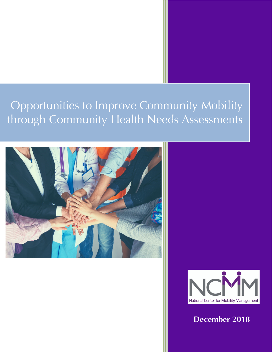# Opportunities to Improve Community Mobility through Community Health Needs Assessments





**December 2018**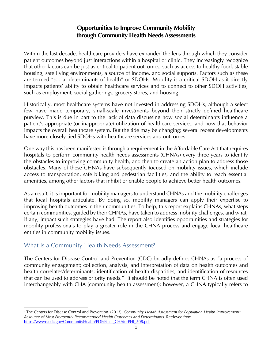## **Opportunities to Improve Community Mobility through Community Health Needs Assessments**

Within the last decade, healthcare providers have expanded the lens through which they consider patient outcomes beyond just interactions within a hospital or clinic. They increasingly recognize that other factors can be just as critical to patient outcomes, such as access to healthy food, stable housing, safe living environments, a source of income, and social supports. Factors such as these are termed "social determinants of health" or SDOHs. Mobility is a critical SDOH as it directly impacts patients' ability to obtain healthcare services and to connect to other SDOH activities, such as employment, social gatherings, grocery stores, and housing.

Historically, most healthcare systems have not invested in addressing SDOHs, although a select few have made temporary, small-scale investments beyond their strictly defined healthcare purview. This is due in part to the lack of data discussing how social determinants influence a patient's appropriate (or inappropriate) utilization of healthcare services, and how that behavior impacts the overall healthcare system. But the tide may be changing; several recent developments have more closely tied SDOHs with healthcare services and outcomes:

One way this has been manifested is through a requirement in the Affordable Care Act that requires hospitals to perform community health needs assessments (CHNAs) every three years to identify the obstacles to improving community health, and then to create an action plan to address those obstacles. Many of these CHNAs have subsequently focused on mobility issues, which include access to transportation, safe biking and pedestrian facilities, and the ability to reach essential amenities, among other factors that inhibit or enable people to achieve better health outcomes.

As a result, it is important for mobility managers to understand CHNAs and the mobility challenges that local hospitals articulate. By doing so, mobility managers can apply their expertise to improving health outcomes in their communities. To help, this report explains CHNAs, what steps certain communities, guided by their CHNAs, have taken to address mobility challenges, and what, if any, impact such strategies have had. The report also identifies opportunities and strategies for mobility professionals to play a greater role in the CHNA process and engage local healthcare entities in community mobility issues.

## What is a Community Health Needs Assessment?

 $\overline{a}$ 

The Centers for Disease Control and Prevention (CDC) broadly defines CHNAs as "a process of community engagement; collection, analysis, and interpretation of data on health outcomes and health correlates/determinants; identification of health disparities; and identification of resources that can be used to address priority needs."1 It should be noted that the term CHNA is often used interchangeably with CHA (community health assessment); however, a CHNA typically refers to

<sup>1</sup> The Centers for Disease Control and Prevention. (2013). *Community Health Assessment for Population Health Improvement: Resource of Most Frequently Recommended Health Outcomes and Determinants.* Retrieved from https://wwwn.cdc.gov/CommunityHealth/PDF/Final\_CHAforPHI\_508.pdf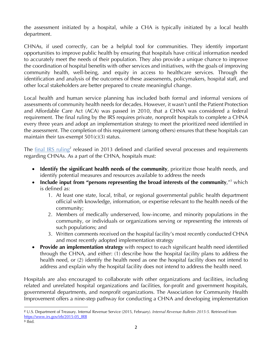the assessment initiated by a hospital, while a CHA is typically initiated by a local health department.

CHNAs, if used correctly, can be a helpful tool for communities. They identify important opportunities to improve public health by ensuring that hospitals have critical information needed to accurately meet the needs of their population. They also provide a unique chance to improve the coordination of hospital benefits with other services and initiatives, with the goals of improving community health, well-being, and equity in access to healthcare services. Through the identification and analysis of the outcomes of these assessments, policymakers, hospital staff, and other local stakeholders are better prepared to create meaningful change.

Local health and human service planning has included both formal and informal versions of assessments of community health needs for decades. However, it wasn't until the Patient Protection and Affordable Care Act (ACA) was passed in 2010, that a CHNA was considered a federal requirement. The final ruling by the IRS requires private, nonprofit hospitals to complete a CHNA every three years and adopt an implementation strategy to meet the prioritized need identified in the assessment. The completion of this requirement (among others) ensures that these hospitals can maintain their tax-exempt  $501(c)(3)$  status.

The final IRS ruling<sup>2</sup> released in 2013 defined and clarified several processes and requirements regarding CHNAs. As a part of the CHNA, hospitals must:

- **Identify the significant health needs of the community**, prioritize those health needs, and identify potential measures and resources available to address the needs
- **Include input from "persons representing the broad interests of the community,"** which is defined as:
	- 1. At least one state, local, tribal, or regional governmental public health department official with knowledge, information, or expertise relevant to the health needs of the community;
	- 2. Members of medically underserved, low-income, and minority populations in the community, or individuals or organizations serving or representing the interests of such populations; and
	- 3. Written comments received on the hospital facility's most recently conducted CHNA and most recently adopted implementation strategy
- **Provide an implementation strategy** with respect to each significant health need identified through the CHNA, and either: (1) describe how the hospital facility plans to address the health need, or (2) identify the health need as one the hospital facility does not intend to address and explain why the hospital facility does not intend to address the health need.

Hospitals are also encouraged to collaborate with other organizations and facilities, including related and unrelated hospital organizations and facilities, for-profit and government hospitals, governmental departments, and nonprofit organizations. The Association for Community Health Improvement offers a nine-step pathway for conducting a CHNA and developing implementation

 $\overline{a}$ <sup>2</sup> U.S. Department of Treasury. Internal Revenue Service (2015, February). *Internal Revenue Bulletin 2015-5.* Retrieved from https://www.irs.gov/irb/2015-05\_IRB  $3$  Ibid.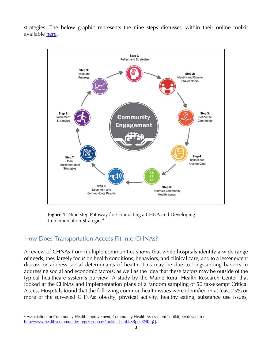strategies. The below graphic represents the nine steps discussed within their online toolkit available here.



**Figure 1**: Nine-step Pathway for Conducting a CHNA and Developing Implementation Strategies<sup>4</sup>

## How Does Transportation Access Fit into CHNAs?

<u>.</u>

A review of CHNAs from multiple communities shows that while hospitals identify a wide range of needs, they largely focus on health conditions, behaviors, and clinical care, and to a lesser extent discuss or address social determinants of health. This may be due to longstanding barriers in addressing social and economic factors, as well as the idea that these factors may be outside of the typical healthcare system's purview. A study by the Maine Rural Health Research Center that looked at the CHNAs and implementation plans of a random sampling of 50 tax-exempt Critical Access Hospitals found that the following common health issues were identified in at least 25% or more of the surveyed CHNAs: obesity, physical activity, healthy eating, substance use issues,

<sup>4</sup> Association for Community Health Improvement, Community Health Assessment Toolkit, Retrieved from http://www.healthycommunities.org/Resources/toolkit.shtml#.XBpeeRNKiqQ.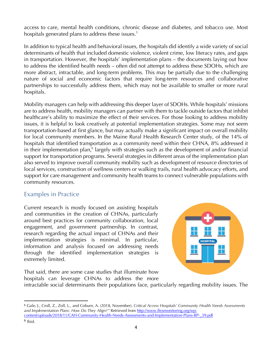access to care, mental health conditions, chronic disease and diabetes, and tobacco use. Most hospitals generated plans to address these issues.<sup>5</sup>

In addition to typical health and behavioral issues, the hospitals did identify a wide variety of social determinants of health that included domestic violence, violent crime, low literacy rates, and gaps in transportation. However, the hospitals' implementation plans – the documents laying out how to address the identified health needs – often did not attempt to address these SDOHs, which are more abstract, intractable, and long-term problems. This may be partially due to the challenging nature of social and economic factors that require long-term resources and collaborative partnerships to successfully address them, which may not be available to smaller or more rural hospitals.

Mobility managers can help with addressing this deeper layer of SDOHs. While hospitals' missions are to address health, mobility managers can partner with them to tackle outside factors that inhibit healthcare's ability to maximize the effect of their services. For those looking to address mobility issues, it is helpful to look creatively at potential implementation strategies. Some may not seem transportation-based at first glance, but may actually make a significant impact on overall mobility for local community members. In the Maine Rural Health Research Center study, of the 14% of hospitals that identified transportation as a community need within their CHNA, 8% addressed it in their implementation plan,<sup>6</sup> largely with strategies such as the development of and/or financial support for transportation programs. Several strategies in different areas of the implementation plan also served to improve overall community mobility such as development of resource directories of local services, construction of wellness centers or walking trails, rural health advocacy efforts, and support for care management and community health teams to connect vulnerable populations with community resources.

## Examples in Practice

Current research is mostly focused on assisting hospitals and communities in the creation of CHNAs, particularly around best practices for community collaboration, local engagement, and government partnership. In contrast, research regarding the actual impact of CHNAs and their implementation strategies is minimal. In particular, information and analysis focused on addressing needs through the identified implementation strategies is extremely limited.



That said, there are some case studies that illuminate how hospitals can leverage CHNAs to address the more

intractable social determinants their populations face, particularly regarding mobility issues. The

 $\overline{a}$ 

<sup>5</sup> Gale, J., Croll, Z., Zoll, L., and Coburn, A. (2018, November). *Critical Access Hospitals' Community Health Needs Assessments and Implementation Plans: How Do They Align?"* Retrieved from http://www.flexmonitoring.org/wpcontent/uploads/2018/11/CAH-Community-Health-Needs-Assessments-and-Implementation-Plans-BP-\_39.pdf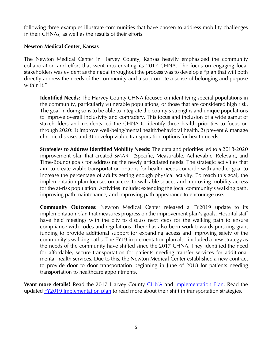following three examples illustrate communities that have chosen to address mobility challenges in their CHNAs, as well as the results of their efforts.

#### **Newton Medical Center, Kansas**

The Newton Medical Center in Harvey County, Kansas heavily emphasized the community collaboration and effort that went into creating its 2017 CHNA. The focus on engaging local stakeholders was evident as their goal throughout the process was to develop a "plan that will both directly address the needs of the community and also promote a sense of belonging and purpose within it."

**Identified Needs:** The Harvey County CHNA focused on identifying special populations in the community, particularly vulnerable populations, or those that are considered high risk. The goal in doing so is to be able to integrate the county's strengths and unique populations to improve overall inclusivity and comradery. This focus and inclusion of a wide gamut of stakeholders and residents led the CHNA to identify three health priorities to focus on through 2020: 1) improve well-being/mental health/behavioral health, 2) prevent & manage chronic disease, and 3) develop viable transportation options for health needs.

**Strategies to Address Identified Mobility Needs**: The data and priorities led to a 2018-2020 improvement plan that created SMART (Specific, Measurable, Achievable, Relevant, and Time-Bound) goals for addressing the newly articulated needs. The strategic activities that aim to create viable transportation options for health needs coincide with another goal to increase the percentage of adults getting enough physical activity. To reach this goal, the implementation plan focuses on access to walkable spaces and improving mobility access for the at-risk population. Activities include: extending the local community's walking path, improving path maintenance, and improving path appearance to encourage use.

**Community Outcomes:** Newton Medical Center released a FY2019 update to its implementation plan that measures progress on the improvement plan's goals. Hospital staff have held meetings with the city to discuss next steps for the walking path to ensure compliance with codes and regulations. There has also been work towards pursuing grant funding to provide additional support for expanding access and improving safety of the community's walking paths. The FY19 implementation plan also included a new strategy as the needs of the community have shifted since the 2017 CHNA. They identified the need for affordable, secure transportation for patients needing transfer services for additional mental health services. Due to this, the Newton Medical Center established a new contract to provide door to door transportation beginning in June of 2018 for patients needing transportation to healthcare appointments.

**Want more details?** Read the 2017 Harvey County CHNA and Implementation Plan. Read the updated FY2019 Implementation plan to read more about their shift in transportation strategies.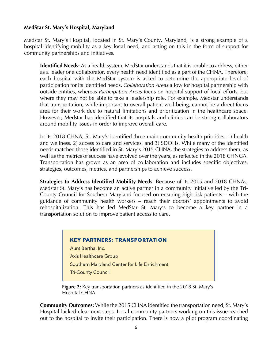#### **MedStar St. Mary's Hospital, Maryland**

Medstar St. Mary's Hospital, located in St. Mary's County, Maryland, is a strong example of a hospital identifying mobility as a key local need, and acting on this in the form of support for community partnerships and initiatives.

**Identified Needs:** As a health system, MedStar understands that it is unable to address, either as a leader or a collaborator, every health need identified as a part of the CHNA. Therefore, each hospital with the MedStar system is asked to determine the appropriate level of participation for its identified needs. *Collaboration Areas* allow for hospital partnership with outside entities, whereas *Participation Areas* focus on hospital support of local efforts, but where they may not be able to take a leadership role. For example, Medstar understands that transportation, while important to overall patient well-being, cannot be a direct focus area for their work due to natural limitations and prioritization in the healthcare space. However, Medstar has identified that its hospitals and clinics can be strong collaborators around mobility issues in order to improve overall care.

In its 2018 CHNA, St. Mary's identified three main community health priorities: 1) health and wellness, 2) access to care and services, and 3) SDOHs. While many of the identified needs matched those identified in St. Mary's 2015 CHNA, the strategies to address them, as well as the metrics of success have evolved over the years, as reflected in the 2018 CHNGA. Transportation has grown as an area of collaboration and includes specific objectives, strategies, outcomes, metrics, and partnerships to achieve success.

**Strategies to Address Identified Mobility Needs**: Because of its 2015 and 2018 CHNAs, Medstar St. Mary's has become an active partner in a community initiative led by the Tri-County Council for Southern Maryland focused on ensuring high-risk patients – with the guidance of community health workers – reach their doctors' appointments to avoid rehospitalization. This has led MedStar St. Mary's to become a key partner in a transportation solution to improve patient access to care.

#### **KEY PARTNERS: TRANSPORTATION**

Aunt Bertha, Inc. **Axis Healthcare Group** Southern Maryland Center for Life Enrichment **Tri-County Council** 

**Figure 2:** Key transportation partners as identified in the 2018 St. Mary's Hospital CHNA

**Community Outcomes:** While the 2015 CHNA identified the transportation need, St. Mary's Hospital lacked clear next steps. Local community partners working on this issue reached out to the hospital to invite their participation. There is now a pilot program coordinating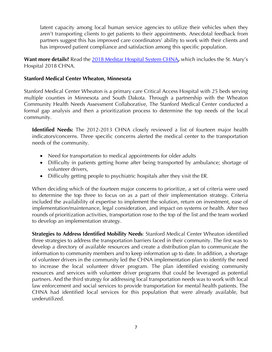latent capacity among local human service agencies to utilize their vehicles when they aren't transporting clients to get patients to their appointments. Anecdotal feedback from partners suggest this has improved care coordinators' ability to work with their clients and has improved patient compliance and satisfaction among this specific population.

**Want more details?** Read the 2018 Medstar Hospital System CHNA**,** which includes the St. Mary's Hospital 2018 CHNA.

### **Stanford Medical Center Wheaton, Minnesota**

Stanford Medical Center Wheaton is a primary care Critical Access Hospital with 25 beds serving multiple counties in Minnesota and South Dakota. Through a partnership with the Wheaton Community Health Needs Assessment Collaborative, The Stanford Medical Center conducted a formal gap analysis and then a prioritization process to determine the top needs of the local community.

**Identified Needs:** The 2012-2013 CHNA closely reviewed a list of fourteen major health indicators/concerns. Three specific concerns alerted the medical center to the transportation needs of the community.

- Need for transportation to medical appointments for older adults
- Difficulty in patients getting home after being transported by ambulance; shortage of volunteer drivers,
- Difficulty getting people to psychiatric hospitals after they visit the ER.

When deciding which of the fourteen major concerns to prioritize, a set of criteria were used to determine the top three to focus on as a part of their implementation strategy. Criteria included the availability of expertise to implement the solution, return on investment, ease of implementation/maintenance, legal consideration, and impact on systems or health. After two rounds of prioritization activities, transportation rose to the top of the list and the team worked to develop an implementation strategy.

**Strategies to Address Identified Mobility Needs**: Stanford Medical Center Wheaton identified three strategies to address the transportation barriers faced in their community. The first was to develop a directory of available resources and create a distribution plan to communicate the information to community members and to keep information up to date. In addition, a shortage of volunteer drivers in the community led the CHNA implementation plan to identify the need to increase the local volunteer driver program. The plan identified existing community resources and services with volunteer driver programs that could be leveraged as potential partners. And the third strategy for addressing local transportation needs was to work with local law enforcement and social services to provide transportation for mental health patients. The CHNA had identified local services for this population that were already available, but underutilized.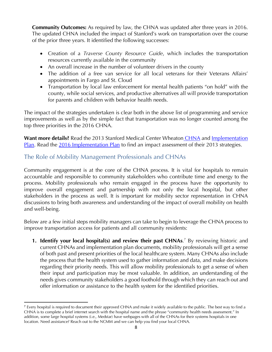**Community Outcomes:** As required by law, the CHNA was updated after three years in 2016. The updated CHNA included the impact of Stanford's work on transportation over the course of the prior three years. It identified the following successes:

- Creation of a *Traverse County Resource Guide*, which includes the transportation resources currently available in the community
- An overall increase in the number of volunteer drivers in the county
- The addition of a free van service for all local veterans for their Veterans Affairs' appointments in Fargo and St. Cloud
- Transportation by local law enforcement for mental health patients "on hold" with the county, while social services, and productive alternatives all will provide transportation for parents and children with behavior health needs.

The impact of the strategies undertaken is clear both in the above list of programming and service improvements as well as by the simple fact that transportation was no longer counted among the top three priorities in the 2016 CHNA.

Want more details? Read the 2013 Stanford Medical Center Wheaton CHNA and Implementation Plan. Read the 2016 Implementation Plan to find an impact assessment of their 2013 strategies.

## The Role of Mobility Management Professionals and CHNAs

Community engagement is at the core of the CHNA process. It is vital for hospitals to remain accountable and responsible to community stakeholders who contribute time and energy to the process. Mobility professionals who remain engaged in the process have the opportunity to improve overall engagement and partnership with not only the local hospital, but other stakeholders in the process as well. It is important for mobility sector representation in CHNA discussions to bring both awareness and understanding of the impact of overall mobility on health and well-being.

Below are a few initial steps mobility managers can take to begin to leverage the CHNA process to improve transportation access for patients and all community residents:

**1. Identify your local hospital(s) and review their past CHNAs.<sup>7</sup> By reviewing historic and** current CHNAs and implementation plan documents, mobility professionals will get a sense of both past and present priorities of the local healthcare system. Many CHNAs also include the process that the health system used to gather information and data, and make decisions regarding their priority needs. This will allow mobility professionals to get a sense of when their input and participation may be most valuable. In addition, an understanding of the needs gives community stakeholders a good foothold through which they can reach out and offer information or assistance to the health system for the identified priorities.

**<sup>.</sup>** <sup>7</sup> Every hospital is required to document their approved CHNA and make it widely available to the public. The best way to find a CHNA is to complete a brief internet search with the hospital name and the phrase "community health needs assessment." In addition, some large hospital systems (i.e., Medstar) have webpages with all of the CHNAs for their systems hospitals in one location. Need assistance? Reach out to the NCMM and we can help you find your local CHNA.